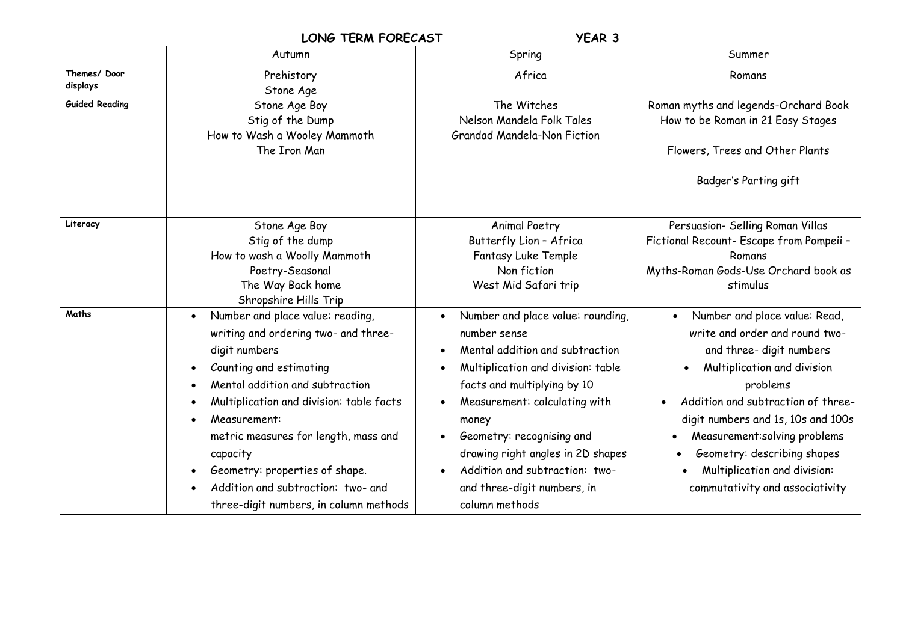|                         | <b>LONG TERM FORECAST</b>                                                                                                                                                                                                                                                                                                                                                                                           | <b>YEAR 3</b>                                                                                                                                                                                                                                                                                                                                            |                                                                                                                                                                                                                                                                                                                                                                                 |  |
|-------------------------|---------------------------------------------------------------------------------------------------------------------------------------------------------------------------------------------------------------------------------------------------------------------------------------------------------------------------------------------------------------------------------------------------------------------|----------------------------------------------------------------------------------------------------------------------------------------------------------------------------------------------------------------------------------------------------------------------------------------------------------------------------------------------------------|---------------------------------------------------------------------------------------------------------------------------------------------------------------------------------------------------------------------------------------------------------------------------------------------------------------------------------------------------------------------------------|--|
|                         | Autumn                                                                                                                                                                                                                                                                                                                                                                                                              | Spring                                                                                                                                                                                                                                                                                                                                                   | Summer                                                                                                                                                                                                                                                                                                                                                                          |  |
| Themes/Door<br>displays | Prehistory<br>Stone Age                                                                                                                                                                                                                                                                                                                                                                                             | Africa                                                                                                                                                                                                                                                                                                                                                   | Romans                                                                                                                                                                                                                                                                                                                                                                          |  |
| <b>Guided Reading</b>   | Stone Age Boy<br>Stig of the Dump<br>How to Wash a Wooley Mammoth<br>The Iron Man                                                                                                                                                                                                                                                                                                                                   | The Witches<br>Nelson Mandela Folk Tales<br><b>Grandad Mandela-Non Fiction</b>                                                                                                                                                                                                                                                                           | Roman myths and legends-Orchard Book<br>How to be Roman in 21 Easy Stages<br>Flowers, Trees and Other Plants<br>Badger's Parting gift                                                                                                                                                                                                                                           |  |
| Literacy                | Stone Age Boy<br>Stig of the dump<br>How to wash a Woolly Mammoth<br>Poetry-Seasonal<br>The Way Back home<br>Shropshire Hills Trip                                                                                                                                                                                                                                                                                  | <b>Animal Poetry</b><br>Butterfly Lion - Africa<br>Fantasy Luke Temple<br>Non fiction<br>West Mid Safari trip                                                                                                                                                                                                                                            | Persuasion- Selling Roman Villas<br>Fictional Recount- Escape from Pompeii -<br>Romans<br>Myths-Roman Gods-Use Orchard book as<br>stimulus                                                                                                                                                                                                                                      |  |
| Maths                   | Number and place value: reading,<br>$\bullet$<br>writing and ordering two- and three-<br>digit numbers<br>Counting and estimating<br>$\bullet$<br>Mental addition and subtraction<br>Multiplication and division: table facts<br>Measurement:<br>metric measures for length, mass and<br>capacity<br>Geometry: properties of shape.<br>Addition and subtraction: two- and<br>three-digit numbers, in column methods | Number and place value: rounding,<br>number sense<br>Mental addition and subtraction<br>Multiplication and division: table<br>facts and multiplying by 10<br>Measurement: calculating with<br>money<br>Geometry: recognising and<br>drawing right angles in 2D shapes<br>Addition and subtraction: two-<br>and three-digit numbers, in<br>column methods | Number and place value: Read,<br>$\bullet$<br>write and order and round two-<br>and three- digit numbers<br>Multiplication and division<br>$\bullet$<br>problems<br>Addition and subtraction of three-<br>digit numbers and 1s, 10s and 100s<br>Measurement: solving problems<br>Geometry: describing shapes<br>Multiplication and division:<br>commutativity and associativity |  |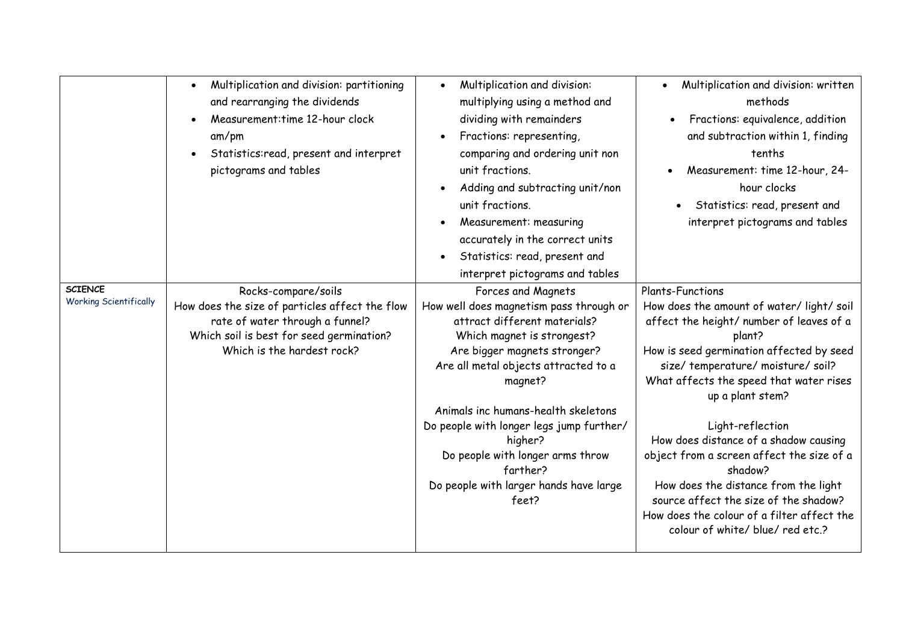| $\bullet$<br>and rearranging the dividends<br>multiplying using a method and<br>methods<br>Measurement: time 12-hour clock<br>dividing with remainders<br>Fractions: representing,<br>am/pm<br>Statistics:read, present and interpret<br>comparing and ordering unit non<br>tenths<br>pictograms and tables<br>unit fractions.<br>hour clocks<br>Adding and subtracting unit/non<br>unit fractions.<br>Measurement: measuring<br>accurately in the correct units<br>Statistics: read, present and<br>interpret pictograms and tables<br><b>SCIENCE</b><br><b>Plants-Functions</b><br>Rocks-compare/soils<br>Forces and Magnets<br><b>Working Scientifically</b><br>How does the size of particles affect the flow<br>How well does magnetism pass through or<br>rate of water through a funnel?<br>attract different materials?<br>Which soil is best for seed germination?<br>Which magnet is strongest?<br>plant?<br>Which is the hardest rock?<br>Are bigger magnets stronger?<br>Are all metal objects attracted to a<br>magnet?<br>up a plant stem?<br>Animals inc humans-health skeletons<br>Do people with longer legs jump further/<br>Light-reflection |                                           |                                         |                                                                                                                                                                                                                                                                                                                                                                                                                                                                                                                                                                                                                                                           |
|-----------------------------------------------------------------------------------------------------------------------------------------------------------------------------------------------------------------------------------------------------------------------------------------------------------------------------------------------------------------------------------------------------------------------------------------------------------------------------------------------------------------------------------------------------------------------------------------------------------------------------------------------------------------------------------------------------------------------------------------------------------------------------------------------------------------------------------------------------------------------------------------------------------------------------------------------------------------------------------------------------------------------------------------------------------------------------------------------------------------------------------------------------------------|-------------------------------------------|-----------------------------------------|-----------------------------------------------------------------------------------------------------------------------------------------------------------------------------------------------------------------------------------------------------------------------------------------------------------------------------------------------------------------------------------------------------------------------------------------------------------------------------------------------------------------------------------------------------------------------------------------------------------------------------------------------------------|
| Do people with longer arms throw<br>farther?<br>shadow?<br>Do people with larger hands have large<br>feet?<br>colour of white/ blue/ red etc.?                                                                                                                                                                                                                                                                                                                                                                                                                                                                                                                                                                                                                                                                                                                                                                                                                                                                                                                                                                                                                  | Multiplication and division: partitioning | Multiplication and division:<br>higher? | Multiplication and division: written<br>Fractions: equivalence, addition<br>and subtraction within 1, finding<br>Measurement: time 12-hour, 24-<br>Statistics: read, present and<br>interpret pictograms and tables<br>How does the amount of water/light/soil<br>affect the height/ number of leaves of a<br>How is seed germination affected by seed<br>size/temperature/moisture/soil?<br>What affects the speed that water rises<br>How does distance of a shadow causing<br>object from a screen affect the size of a<br>How does the distance from the light<br>source affect the size of the shadow?<br>How does the colour of a filter affect the |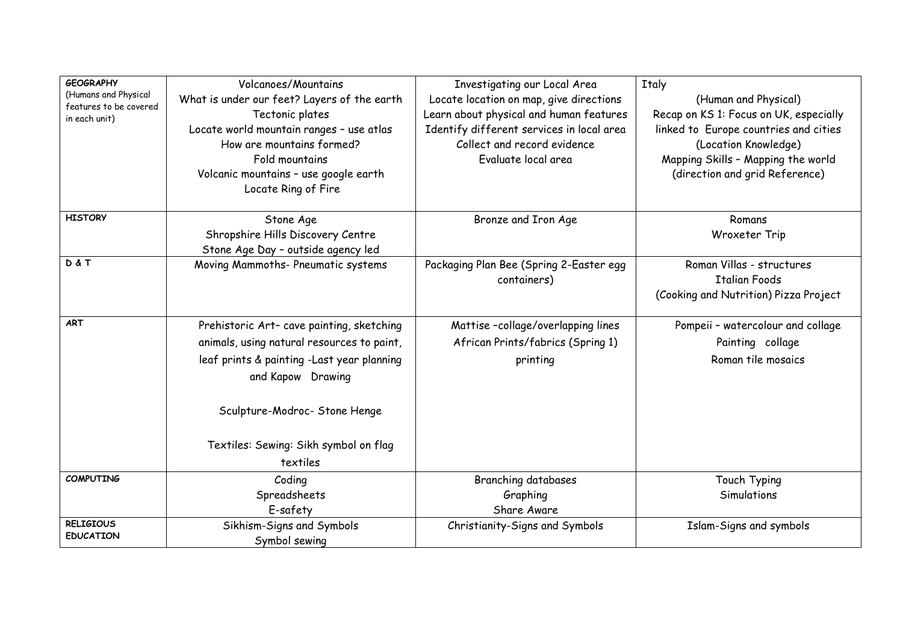| <b>GEOGRAPHY</b><br>(Humans and Physical<br>features to be covered<br>in each unit) | Volcanoes/Mountains<br>What is under our feet? Layers of the earth<br>Tectonic plates<br>Locate world mountain ranges - use atlas<br>How are mountains formed?<br>Fold mountains<br>Volcanic mountains - use google earth<br>Locate Ring of Fire | Investigating our Local Area<br>Locate location on map, give directions<br>Learn about physical and human features<br>Identify different services in local area<br>Collect and record evidence<br>Evaluate local area | <b>Italy</b><br>(Human and Physical)<br>Recap on KS 1: Focus on UK, especially<br>linked to Europe countries and cities<br>(Location Knowledge)<br>Mapping Skills - Mapping the world<br>(direction and grid Reference) |
|-------------------------------------------------------------------------------------|--------------------------------------------------------------------------------------------------------------------------------------------------------------------------------------------------------------------------------------------------|-----------------------------------------------------------------------------------------------------------------------------------------------------------------------------------------------------------------------|-------------------------------------------------------------------------------------------------------------------------------------------------------------------------------------------------------------------------|
| <b>HISTORY</b>                                                                      | Stone Age<br>Shropshire Hills Discovery Centre<br>Stone Age Day - outside agency led                                                                                                                                                             | Bronze and Iron Age                                                                                                                                                                                                   | Romans<br>Wroxeter Trip                                                                                                                                                                                                 |
| D&T                                                                                 | Moving Mammoths- Pneumatic systems                                                                                                                                                                                                               | Packaging Plan Bee (Spring 2-Easter egg<br>containers)                                                                                                                                                                | Roman Villas - structures<br><b>Italian Foods</b><br>(Cooking and Nutrition) Pizza Project                                                                                                                              |
| <b>ART</b>                                                                          | Prehistoric Art- cave painting, sketching<br>animals, using natural resources to paint,<br>leaf prints & painting -Last year planning<br>and Kapow Drawing<br>Sculpture-Modroc- Stone Henge<br>Textiles: Sewing: Sikh symbol on flag<br>textiles | Mattise-collage/overlapping lines<br>African Prints/fabrics (Spring 1)<br>printing                                                                                                                                    | Pompeii - watercolour and collage<br>Painting collage<br>Roman tile mosaics                                                                                                                                             |
| <b>COMPUTING</b>                                                                    | Coding<br>Spreadsheets<br>E-safety                                                                                                                                                                                                               | <b>Branching databases</b><br>Graphing<br>Share Aware                                                                                                                                                                 | Touch Typing<br>Simulations                                                                                                                                                                                             |
| <b>RELIGIOUS</b><br><b>EDUCATION</b>                                                | Sikhism-Signs and Symbols<br>Symbol sewing                                                                                                                                                                                                       | Christianity-Signs and Symbols                                                                                                                                                                                        | Islam-Signs and symbols                                                                                                                                                                                                 |